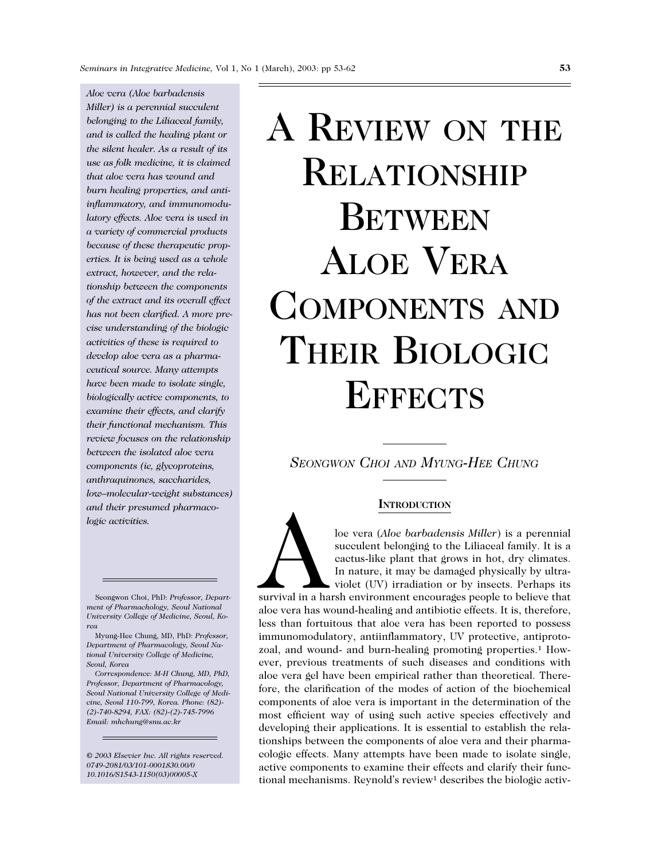*Aloe vera (Aloe barbadensis Miller) is a perennial succulent belonging to the Liliaceal family, and is called the healing plant or the silent healer. As a result of its use as folk medicine, it is claimed that aloe vera has wound and burn healing properties, and antiinflammatory, and immunomodulatory effects. Aloe vera is used in a variety of commercial products because of these therapeutic properties. It is being used as a whole extract, however, and the relationship between the components of the extract and its overall effect has not been clarified. A more precise understanding of the biologic activities of these is required to develop aloe vera as a pharmaceutical source. Many attempts have been made to isolate single, biologically active components, to examine their effects, and clarify their functional mechanism. This review focuses on the relationship between the isolated aloe vera components (ie, glycoproteins, anthraquinones, saccharides, low–molecular-weight substances) and their presumed pharmacologic activities.*

Seongwon Choi, PhD: *Professor, Department of Pharmachology, Seoul National University College of Medicine, Seoul, Korea*

*Correspondence: M-H Chung, MD, PhD, Professor, Department of Pharmacology, Seoul National University College of Medicine, Seoul 110-799, Korea. Phone: (82)- (2)-740-8294, FAX: (82)-(2)-745-7996 Email: mhchung@snu.ac.kr*

*© 2003 Elsevier Inc. All rights reserved. 0749-2081/03/101-0001\$30.00/0 10.1016/S1543-1150(03)00005-X*

# A REVIEW ON THE RELATIONSHIP **BETWEEN** ALOE VERA COMPONENTS AND THEIR BIOLOGIC **EFFECTS**

*SEONGWON CHOI AND MYUNG-HEE CHUNG*

# **INTRODUCTION**

**ENTRODUCTION**<br>
loe vera (*Aloe barbadensis Miller*) is a perennial<br>
succulent belonging to the Liliaceal family. It is a<br>
cactus-like plant that grows in hot, dry climates.<br>
In nature, it may be damaged physically by ultr succulent belonging to the Liliaceal family. It is a cactus-like plant that grows in hot, dry climates. In nature, it may be damaged physically by ultraviolet (UV) irradiation or by insects. Perhaps its survival in a harsh environment encourages people to believe that aloe vera has wound-healing and antibiotic effects. It is, therefore, less than fortuitous that aloe vera has been reported to possess immunomodulatory, antiinflammatory, UV protective, antiprotozoal, and wound- and burn-healing promoting properties.<sup>1</sup> However, previous treatments of such diseases and conditions with aloe vera gel have been empirical rather than theoretical. There-

fore, the clarification of the modes of action of the biochemical components of aloe vera is important in the determination of the most efficient way of using such active species effectively and developing their applications. It is essential to establish the relationships between the components of aloe vera and their pharmacologic effects. Many attempts have been made to isolate single, active components to examine their effects and clarify their functional mechanisms. Reynold's review<sup>1</sup> describes the biologic activ-

Myung-Hee Chung, MD, PhD: *Professor, Department of Pharmacology, Seoul National University College of Medicine, Seoul, Korea*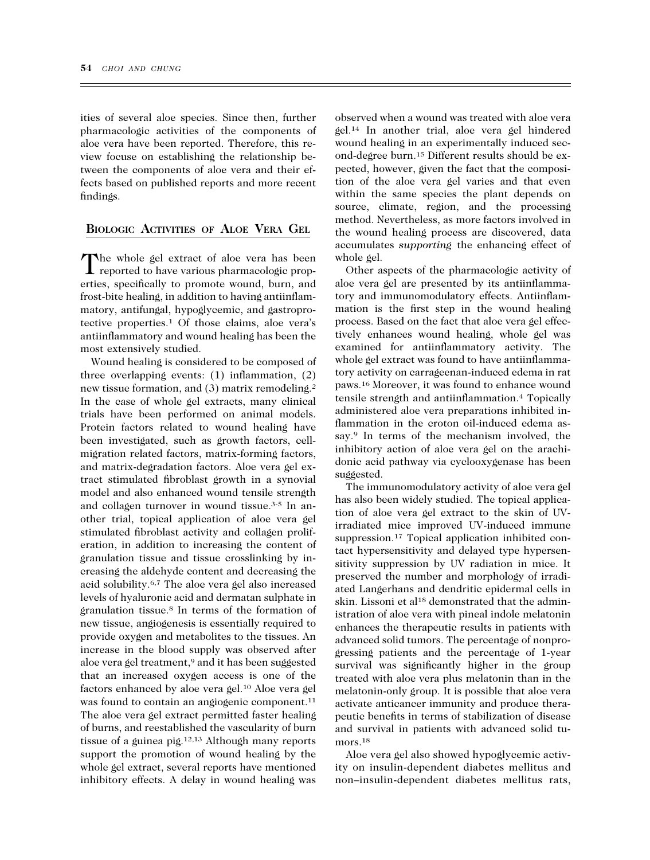ities of several aloe species. Since then, further pharmacologic activities of the components of aloe vera have been reported. Therefore, this review focuse on establishing the relationship between the components of aloe vera and their effects based on published reports and more recent findings.

# **BIOLOGIC ACTIVITIES OF ALOE VERA GEL**

The whole gel extract of aloe vera has been reported to have various pharmacologic properties, specifically to promote wound, burn, and frost-bite healing, in addition to having antiinflammatory, antifungal, hypoglycemic, and gastroprotective properties.1 Of those claims, aloe vera's antiinflammatory and wound healing has been the most extensively studied.

Wound healing is considered to be composed of three overlapping events: (1) inflammation, (2) new tissue formation, and (3) matrix remodeling.2 In the case of whole gel extracts, many clinical trials have been performed on animal models. Protein factors related to wound healing have been investigated, such as growth factors, cellmigration related factors, matrix-forming factors, and matrix-degradation factors. Aloe vera gel extract stimulated fibroblast growth in a synovial model and also enhanced wound tensile strength and collagen turnover in wound tissue.3-5 In another trial, topical application of aloe vera gel stimulated fibroblast activity and collagen proliferation, in addition to increasing the content of granulation tissue and tissue crosslinking by increasing the aldehyde content and decreasing the acid solubility.6,7 The aloe vera gel also increased levels of hyaluronic acid and dermatan sulphate in granulation tissue.8 In terms of the formation of new tissue, angiogenesis is essentially required to provide oxygen and metabolites to the tissues. An increase in the blood supply was observed after aloe vera gel treatment,<sup>9</sup> and it has been suggested that an increased oxygen access is one of the factors enhanced by aloe vera gel.10 Aloe vera gel was found to contain an angiogenic component.<sup>11</sup> The aloe vera gel extract permitted faster healing of burns, and reestablished the vascularity of burn tissue of a guinea pig.12,13 Although many reports support the promotion of wound healing by the whole gel extract, several reports have mentioned inhibitory effects. A delay in wound healing was

observed when a wound was treated with aloe vera gel.14 In another trial, aloe vera gel hindered wound healing in an experimentally induced second-degree burn.15 Different results should be expected, however, given the fact that the composition of the aloe vera gel varies and that even within the same species the plant depends on source, climate, region, and the processing method. Nevertheless, as more factors involved in the wound healing process are discovered, data accumulates *supporting* the enhancing effect of whole gel.

Other aspects of the pharmacologic activity of aloe vera gel are presented by its antiinflammatory and immunomodulatory effects. Antiinflammation is the first step in the wound healing process. Based on the fact that aloe vera gel effectively enhances wound healing, whole gel was examined for antiinflammatory activity. The whole gel extract was found to have antiinflammatory activity on carrageenan-induced edema in rat paws.16 Moreover, it was found to enhance wound tensile strength and antiinflammation.4 Topically administered aloe vera preparations inhibited inflammation in the croton oil-induced edema assay.9 In terms of the mechanism involved, the inhibitory action of aloe vera gel on the arachidonic acid pathway via cyclooxygenase has been suggested.

The immunomodulatory activity of aloe vera gel has also been widely studied. The topical application of aloe vera gel extract to the skin of UVirradiated mice improved UV-induced immune suppression.<sup>17</sup> Topical application inhibited contact hypersensitivity and delayed type hypersensitivity suppression by UV radiation in mice. It preserved the number and morphology of irradiated Langerhans and dendritic epidermal cells in skin. Lissoni et al<sup>18</sup> demonstrated that the administration of aloe vera with pineal indole melatonin enhances the therapeutic results in patients with advanced solid tumors. The percentage of nonprogressing patients and the percentage of 1-year survival was significantly higher in the group treated with aloe vera plus melatonin than in the melatonin-only group. It is possible that aloe vera activate anticancer immunity and produce therapeutic benefits in terms of stabilization of disease and survival in patients with advanced solid tumors.<sup>18</sup>

Aloe vera gel also showed hypoglycemic activity on insulin-dependent diabetes mellitus and non–insulin-dependent diabetes mellitus rats,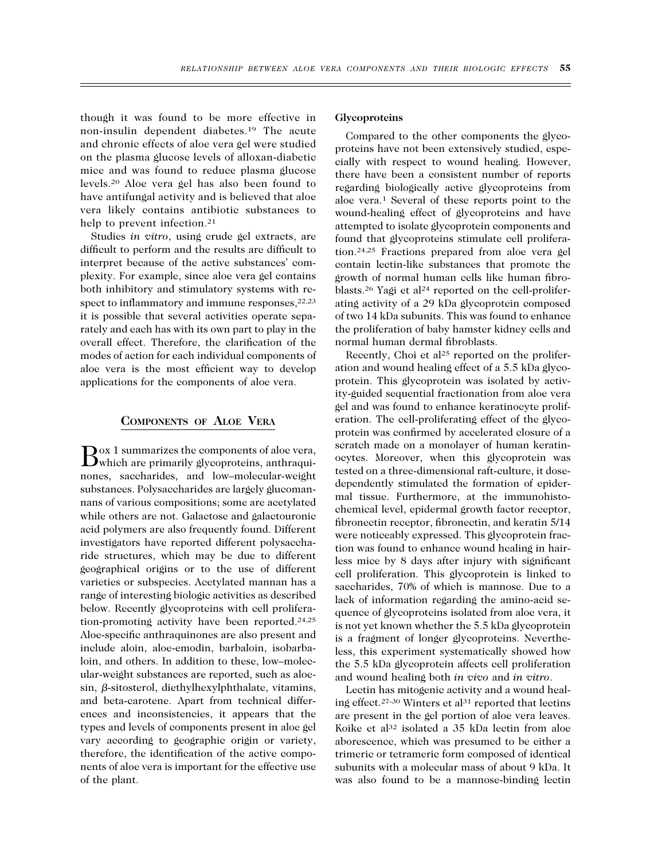though it was found to be more effective in non-insulin dependent diabetes.19 The acute and chronic effects of aloe vera gel were studied on the plasma glucose levels of alloxan-diabetic mice and was found to reduce plasma glucose levels.20 Aloe vera gel has also been found to have antifungal activity and is believed that aloe vera likely contains antibiotic substances to help to prevent infection.<sup>21</sup>

Studies *in vitro*, using crude gel extracts, are difficult to perform and the results are difficult to interpret because of the active substances' complexity. For example, since aloe vera gel contains both inhibitory and stimulatory systems with respect to inflammatory and immune responses, <sup>22,23</sup> it is possible that several activities operate separately and each has with its own part to play in the overall effect. Therefore, the clarification of the modes of action for each individual components of aloe vera is the most efficient way to develop applications for the components of aloe vera.

## **COMPONENTS OF ALOE VERA**

Box 1 summarizes the components of aloe vera, which are primarily glycoproteins, anthraquinones, saccharides, and low–molecular-weight substances. Polysaccharides are largely glucomannans of various compositions; some are acetylated while others are not. Galactose and galactouronic acid polymers are also frequently found. Different investigators have reported different polysaccharide structures, which may be due to different geographical origins or to the use of different varieties or subspecies. Acetylated mannan has a range of interesting biologic activities as described below. Recently glycoproteins with cell proliferation-promoting activity have been reported.24,25 Aloe-specific anthraquinones are also present and include aloin, aloe-emodin, barbaloin, isobarbaloin, and others. In addition to these, low–molecular-weight substances are reported, such as aloe $sin, \beta$ -sitosterol, diethylhexylphthalate, vitamins, and beta-carotene. Apart from technical differences and inconsistencies, it appears that the types and levels of components present in aloe gel vary according to geographic origin or variety, therefore, the identification of the active components of aloe vera is important for the effective use of the plant.

## **Glycoproteins**

Compared to the other components the glycoproteins have not been extensively studied, especially with respect to wound healing. However, there have been a consistent number of reports regarding biologically active glycoproteins from aloe vera.1 Several of these reports point to the wound-healing effect of glycoproteins and have attempted to isolate glycoprotein components and found that glycoproteins stimulate cell proliferation.24,25 Fractions prepared from aloe vera gel contain lectin-like substances that promote the growth of normal human cells like human fibroblasts.<sup>26</sup> Yagi et al<sup>24</sup> reported on the cell-proliferating activity of a 29 kDa glycoprotein composed of two 14 kDa subunits. This was found to enhance the proliferation of baby hamster kidney cells and normal human dermal fibroblasts.

Recently, Choi et al<sup>25</sup> reported on the proliferation and wound healing effect of a 5.5 kDa glycoprotein. This glycoprotein was isolated by activity-guided sequential fractionation from aloe vera gel and was found to enhance keratinocyte proliferation. The cell-proliferating effect of the glycoprotein was confirmed by accelerated closure of a scratch made on a monolayer of human keratinocytes. Moreover, when this glycoprotein was tested on a three-dimensional raft-culture, it dosedependently stimulated the formation of epidermal tissue. Furthermore, at the immunohistochemical level, epidermal growth factor receptor, fibronectin receptor, fibronectin, and keratin 5/14 were noticeably expressed. This glycoprotein fraction was found to enhance wound healing in hairless mice by 8 days after injury with significant cell proliferation. This glycoprotein is linked to saccharides, 70% of which is mannose. Due to a lack of information regarding the amino-acid sequence of glycoproteins isolated from aloe vera, it is not yet known whether the 5.5 kDa glycoprotein is a fragment of longer glycoproteins. Nevertheless, this experiment systematically showed how the 5.5 kDa glycoprotein affects cell proliferation and wound healing both *in vivo* and *in vitro*.

Lectin has mitogenic activity and a wound healing effect.<sup>27-30</sup> Winters et al<sup>31</sup> reported that lectins are present in the gel portion of aloe vera leaves. Koike et al<sup>32</sup> isolated a 35 kDa lectin from aloe aborescence, which was presumed to be either a trimeric or tetrameric form composed of identical subunits with a molecular mass of about 9 kDa. It was also found to be a mannose-binding lectin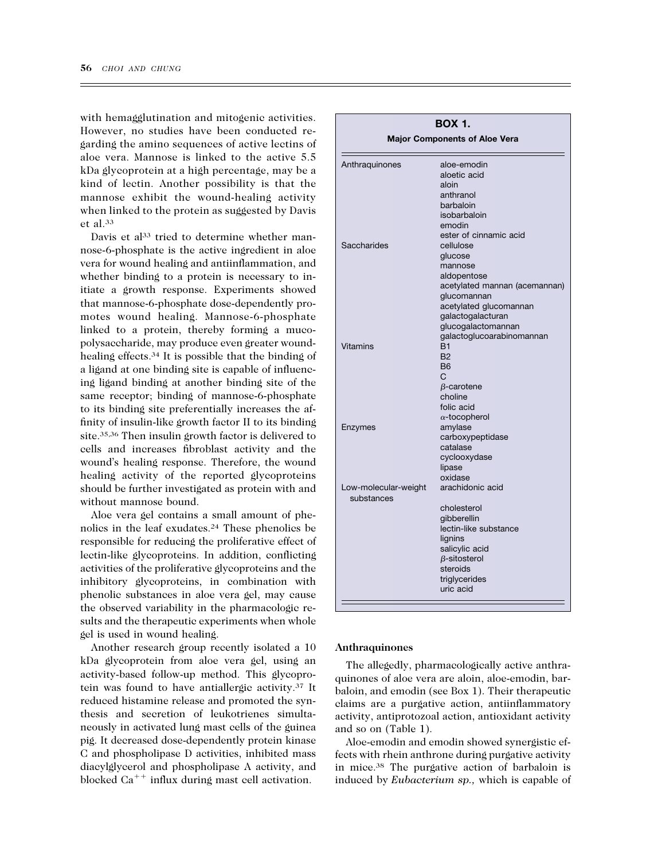with hemagglutination and mitogenic activities. However, no studies have been conducted regarding the amino sequences of active lectins of aloe vera. Mannose is linked to the active 5.5 kDa glycoprotein at a high percentage, may be a kind of lectin. Another possibility is that the mannose exhibit the wound-healing activity when linked to the protein as suggested by Davis et al.33

Davis et al<sup>33</sup> tried to determine whether mannose-6-phosphate is the active ingredient in aloe vera for wound healing and antiinflammation, and whether binding to a protein is necessary to initiate a growth response. Experiments showed that mannose-6-phosphate dose-dependently promotes wound healing. Mannose-6-phosphate linked to a protein, thereby forming a mucopolysaccharide, may produce even greater woundhealing effects.34 It is possible that the binding of a ligand at one binding site is capable of influencing ligand binding at another binding site of the same receptor; binding of mannose-6-phosphate to its binding site preferentially increases the affinity of insulin-like growth factor II to its binding site.35,36 Then insulin growth factor is delivered to cells and increases fibroblast activity and the wound's healing response. Therefore, the wound healing activity of the reported glycoproteins should be further investigated as protein with and without mannose bound.

Aloe vera gel contains a small amount of phenolics in the leaf exudates.24 These phenolics be responsible for reducing the proliferative effect of lectin-like glycoproteins. In addition, conflicting activities of the proliferative glycoproteins and the inhibitory glycoproteins, in combination with phenolic substances in aloe vera gel, may cause the observed variability in the pharmacologic results and the therapeutic experiments when whole gel is used in wound healing.

Another research group recently isolated a 10 kDa glycoprotein from aloe vera gel, using an activity-based follow-up method. This glycoprotein was found to have antiallergic activity.37 It reduced histamine release and promoted the synthesis and secretion of leukotrienes simultaneously in activated lung mast cells of the guinea pig. It decreased dose-dependently protein kinase C and phospholipase D activities, inhibited mass diacylglycerol and phospholipase A activity, and blocked  $Ca^{++}$  influx during mast cell activation.

| <b>BOX 1.</b>                        |                               |  |
|--------------------------------------|-------------------------------|--|
| <b>Major Components of Aloe Vera</b> |                               |  |
| Anthraquinones                       | aloe-emodin                   |  |
|                                      | aloetic acid                  |  |
|                                      | aloin                         |  |
|                                      | anthranol                     |  |
|                                      | barbaloin                     |  |
|                                      | isobarbaloin                  |  |
|                                      | emodin                        |  |
|                                      | ester of cinnamic acid        |  |
| Saccharides                          | cellulose                     |  |
|                                      | glucose                       |  |
|                                      | mannose                       |  |
|                                      | aldopentose                   |  |
|                                      | acetylated mannan (acemannan) |  |
|                                      | glucomannan                   |  |
|                                      | acetylated glucomannan        |  |
|                                      | galactogalacturan             |  |
|                                      | glucogalactomannan            |  |
|                                      | galactoglucoarabinomannan     |  |
| Vitamins<br>Enzymes                  | R <sub>1</sub>                |  |
|                                      | <b>B2</b>                     |  |
|                                      | <b>B6</b>                     |  |
|                                      | C                             |  |
|                                      | $\beta$ -carotene             |  |
|                                      | choline                       |  |
|                                      | folic acid                    |  |
|                                      | $\alpha$ -tocopherol          |  |
|                                      | amylase                       |  |
|                                      | carboxypeptidase              |  |
|                                      | catalase                      |  |
|                                      | cyclooxydase                  |  |
|                                      | lipase                        |  |
|                                      | oxidase                       |  |
| Low-molecular-weight                 | arachidonic acid              |  |
| substances                           |                               |  |
|                                      | cholesterol                   |  |
|                                      | qibberellin                   |  |
|                                      | lectin-like substance         |  |
|                                      | lignins                       |  |
|                                      | salicylic acid                |  |
|                                      | $B$ -sitosterol               |  |
|                                      | steroids                      |  |
|                                      | triglycerides                 |  |
|                                      | uric acid                     |  |

#### **Anthraquinones**

The allegedly, pharmacologically active anthraquinones of aloe vera are aloin, aloe-emodin, barbaloin, and emodin (see Box 1). Their therapeutic claims are a purgative action, antiinflammatory activity, antiprotozoal action, antioxidant activity and so on (Table 1).

Aloe-emodin and emodin showed synergistic effects with rhein anthrone during purgative activity in mice.38 The purgative action of barbaloin is induced by *Eubacterium sp.,* which is capable of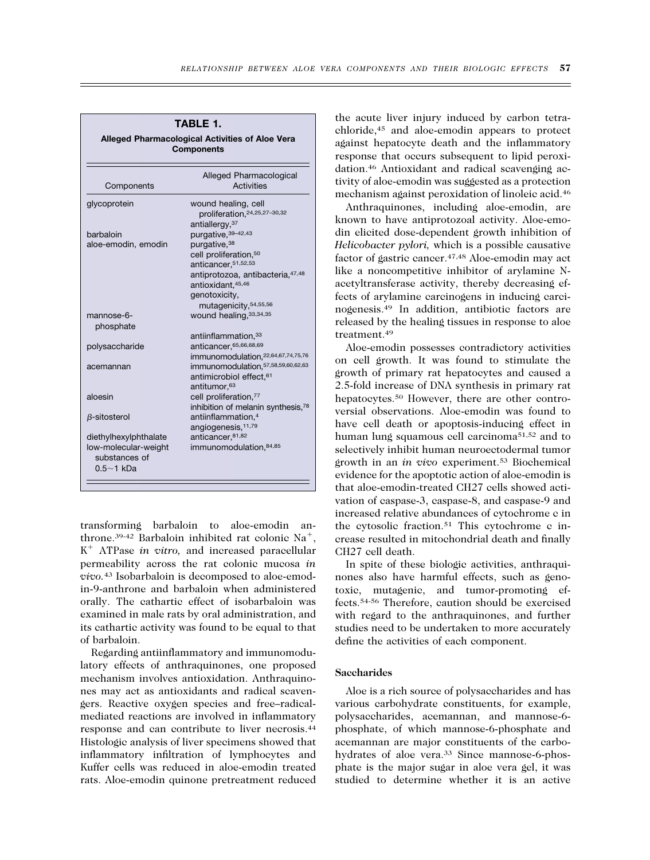| glycoprotein<br>barbaloin         | wound healing, cell<br>proliferation, 24, 25, 27-30, 32 |
|-----------------------------------|---------------------------------------------------------|
|                                   |                                                         |
|                                   |                                                         |
|                                   | antiallergy, 37                                         |
|                                   | purgative, 39-42, 43                                    |
| aloe-emodin, emodin               | purgative, 38                                           |
|                                   | cell proliferation, 50                                  |
|                                   | anticancer, 51, 52, 53                                  |
|                                   | antiprotozoa, antibacteria, 47,48                       |
|                                   | antioxidant, 45,46                                      |
|                                   | genotoxicity,                                           |
|                                   | mutagenicity, 54, 55, 56                                |
| mannose-6-                        | wound healing, 33, 34, 35                               |
| phosphate                         |                                                         |
|                                   | antiinflammation, 33                                    |
| polysaccharide                    | anticancer, 65, 66, 68, 69                              |
|                                   | immunomodulation, 22,64,67,74,75,76                     |
| acemannan                         | immunomodulation, 57, 58, 59, 60, 62, 63                |
|                                   | antimicrobiol effect, <sup>61</sup>                     |
|                                   | antitumor. <sup>63</sup>                                |
| aloesin                           | cell proliferation,77                                   |
|                                   | inhibition of melanin synthesis, <sup>78</sup>          |
| $\beta$ -sitosterol               | antiinflammation, <sup>4</sup>                          |
|                                   | angiogenesis, 11,79                                     |
| diethylhexylphthalate             | anticancer, 81,82                                       |
| low-molecular-weight              | immunomodulation, 84, 85                                |
| substances of<br>$0.5 \sim 1$ kDa |                                                         |

**TABLE 1.**

transforming barbaloin to aloe-emodin anthrone.<sup>39-42</sup> Barbaloin inhibited rat colonic Na<sup>+</sup>, K<sup>+</sup> ATPase *in vitro*, and increased paracellular permeability across the rat colonic mucosa *in vivo.*<sup>43</sup> Isobarbaloin is decomposed to aloe-emodin-9-anthrone and barbaloin when administered orally. The cathartic effect of isobarbaloin was examined in male rats by oral administration, and its cathartic activity was found to be equal to that of barbaloin.

Regarding antiinflammatory and immunomodulatory effects of anthraquinones, one proposed mechanism involves antioxidation. Anthraquinones may act as antioxidants and radical scavengers. Reactive oxygen species and free–radicalmediated reactions are involved in inflammatory response and can contribute to liver necrosis.44 Histologic analysis of liver specimens showed that inflammatory infiltration of lymphocytes and Kuffer cells was reduced in aloe-emodin treated rats. Aloe-emodin quinone pretreatment reduced the acute liver injury induced by carbon tetrachloride,45 and aloe-emodin appears to protect against hepatocyte death and the inflammatory response that occurs subsequent to lipid peroxidation.46 Antioxidant and radical scavenging activity of aloe-emodin was suggested as a protection mechanism against peroxidation of linoleic acid.46

Anthraquinones, including aloe-emodin, are known to have antiprotozoal activity. Aloe-emodin elicited dose-dependent growth inhibition of *Helicobacter pylori,* which is a possible causative factor of gastric cancer.47,48 Aloe-emodin may act like a noncompetitive inhibitor of arylamine Nacetyltransferase activity, thereby decreasing effects of arylamine carcinogens in inducing carcinogenesis.49 In addition, antibiotic factors are released by the healing tissues in response to aloe treatment.49

Aloe-emodin possesses contradictory activities on cell growth. It was found to stimulate the growth of primary rat hepatocytes and caused a 2.5-fold increase of DNA synthesis in primary rat hepatocytes.50 However, there are other controversial observations. Aloe-emodin was found to have cell death or apoptosis-inducing effect in human lung squamous cell carcinoma51,52 and to selectively inhibit human neuroectodermal tumor growth in an *in vivo* experiment.53 Biochemical evidence for the apoptotic action of aloe-emodin is that aloe-emodin-treated CH27 cells showed activation of caspase-3, caspase-8, and caspase-9 and increased relative abundances of cytochrome c in the cytosolic fraction.51 This cytochrome c increase resulted in mitochondrial death and finally CH27 cell death.

In spite of these biologic activities, anthraquinones also have harmful effects, such as genotoxic, mutagenic, and tumor-promoting effects.54-56 Therefore, caution should be exercised with regard to the anthraquinones, and further studies need to be undertaken to more accurately define the activities of each component.

#### **Saccharides**

Aloe is a rich source of polysaccharides and has various carbohydrate constituents, for example, polysaccharides, acemannan, and mannose-6 phosphate, of which mannose-6-phosphate and acemannan are major constituents of the carbohydrates of aloe vera.<sup>33</sup> Since mannose-6-phosphate is the major sugar in aloe vera gel, it was studied to determine whether it is an active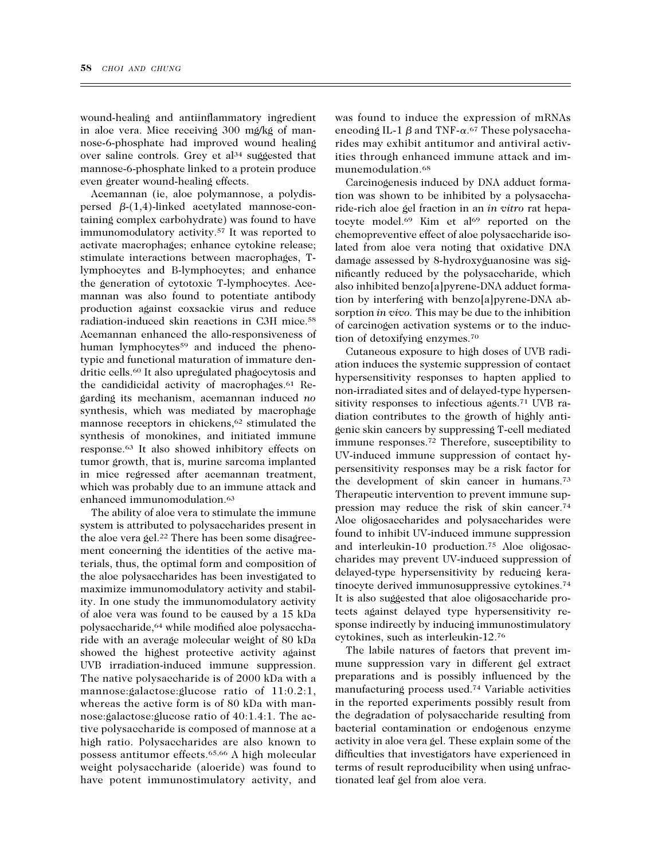wound-healing and antiinflammatory ingredient in aloe vera. Mice receiving 300 mg/kg of mannose-6-phosphate had improved wound healing over saline controls. Grey et al<sup>34</sup> suggested that mannose-6-phosphate linked to a protein produce even greater wound-healing effects.

Acemannan (ie, aloe polymannose, a polydispersed  $\beta$ -(1,4)-linked acetylated mannose-containing complex carbohydrate) was found to have immunomodulatory activity.57 It was reported to activate macrophages; enhance cytokine release; stimulate interactions between macrophages, Tlymphocytes and B-lymphocytes; and enhance the generation of cytotoxic T-lymphocytes. Acemannan was also found to potentiate antibody production against coxsackie virus and reduce radiation-induced skin reactions in C3H mice.58 Acemannan enhanced the allo-responsiveness of human lymphocytes<sup>59</sup> and induced the phenotypic and functional maturation of immature dendritic cells.60 It also upregulated phagocytosis and the candidicidal activity of macrophages.61 Regarding its mechanism, acemannan induced *no* synthesis, which was mediated by macrophage mannose receptors in chickens,<sup>62</sup> stimulated the synthesis of monokines, and initiated immune response.63 It also showed inhibitory effects on tumor growth, that is, murine sarcoma implanted in mice regressed after acemannan treatment, which was probably due to an immune attack and enhanced immunomodulation.<sup>63</sup>

The ability of aloe vera to stimulate the immune system is attributed to polysaccharides present in the aloe vera gel.22 There has been some disagreement concerning the identities of the active materials, thus, the optimal form and composition of the aloe polysaccharides has been investigated to maximize immunomodulatory activity and stability. In one study the immunomodulatory activity of aloe vera was found to be caused by a 15 kDa polysaccharide,64 while modified aloe polysaccharide with an average molecular weight of 80 kDa showed the highest protective activity against UVB irradiation-induced immune suppression. The native polysaccharide is of 2000 kDa with a mannose:galactose:glucose ratio of 11:0.2:1, whereas the active form is of 80 kDa with mannose:galactose:glucose ratio of 40:1.4:1. The active polysaccharide is composed of mannose at a high ratio. Polysaccharides are also known to possess antitumor effects.65,66 A high molecular weight polysaccharide (aloeride) was found to have potent immunostimulatory activity, and was found to induce the expression of mRNAs encoding IL-1  $\beta$  and TNF- $\alpha$ .<sup>67</sup> These polysaccharides may exhibit antitumor and antiviral activities through enhanced immune attack and immunemodulation.68

Carcinogenesis induced by DNA adduct formation was shown to be inhibited by a polysaccharide-rich aloe gel fraction in an *in vitro* rat hepatocyte model.<sup>69</sup> Kim et al<sup>69</sup> reported on the chemopreventive effect of aloe polysaccharide isolated from aloe vera noting that oxidative DNA damage assessed by 8-hydroxyguanosine was significantly reduced by the polysaccharide, which also inhibited benzo[a]pyrene-DNA adduct formation by interfering with benzo[a]pyrene-DNA absorption *in vivo.* This may be due to the inhibition of carcinogen activation systems or to the induction of detoxifying enzymes.70

Cutaneous exposure to high doses of UVB radiation induces the systemic suppression of contact hypersensitivity responses to hapten applied to non-irradiated sites and of delayed-type hypersensitivity responses to infectious agents.<sup>71</sup> UVB radiation contributes to the growth of highly antigenic skin cancers by suppressing T-cell mediated immune responses.72 Therefore, susceptibility to UV-induced immune suppression of contact hypersensitivity responses may be a risk factor for the development of skin cancer in humans.73 Therapeutic intervention to prevent immune suppression may reduce the risk of skin cancer.74 Aloe oligosaccharides and polysaccharides were found to inhibit UV-induced immune suppression and interleukin-10 production.75 Aloe oligosaccharides may prevent UV-induced suppression of delayed-type hypersensitivity by reducing keratinocyte derived immunosuppressive cytokines.74 It is also suggested that aloe oligosaccharide protects against delayed type hypersensitivity response indirectly by inducing immunostimulatory cytokines, such as interleukin-12.76

The labile natures of factors that prevent immune suppression vary in different gel extract preparations and is possibly influenced by the manufacturing process used.74 Variable activities in the reported experiments possibly result from the degradation of polysaccharide resulting from bacterial contamination or endogenous enzyme activity in aloe vera gel. These explain some of the difficulties that investigators have experienced in terms of result reproducibility when using unfractionated leaf gel from aloe vera.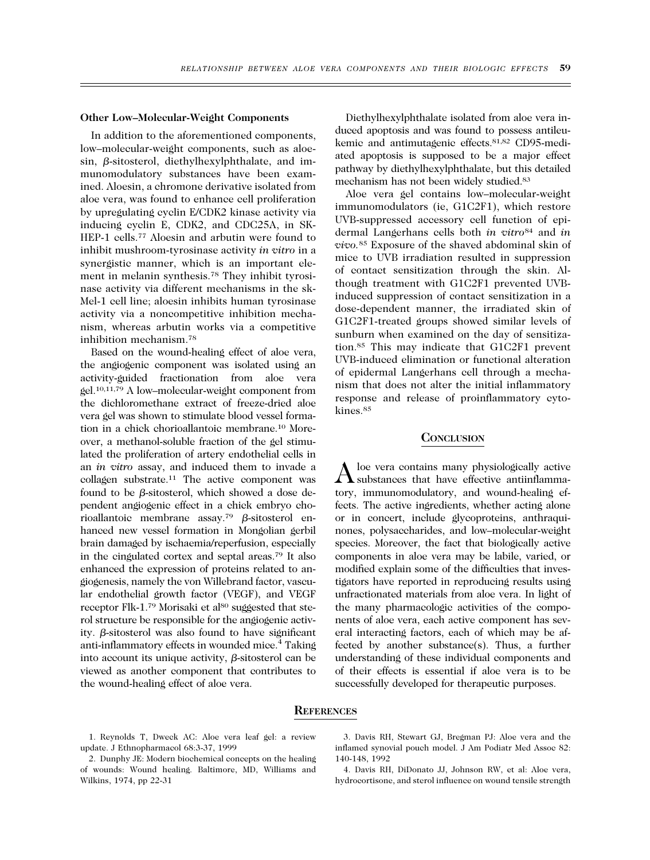#### **Other Low–Molecular-Weight Components**

In addition to the aforementioned components, low–molecular-weight components, such as aloe $sin, \beta\text{-sitosterol},$  diethylhexylphthalate, and immunomodulatory substances have been examined. Aloesin, a chromone derivative isolated from aloe vera, was found to enhance cell proliferation by upregulating cyclin E/CDK2 kinase activity via inducing cyclin E, CDK2, and CDC25A, in SK-HEP-1 cells.<sup>77</sup> Aloesin and arbutin were found to inhibit mushroom-tyrosinase activity *in vitro* in a synergistic manner, which is an important element in melanin synthesis.78 They inhibit tyrosinase activity via different mechanisms in the sk-Mel-1 cell line; aloesin inhibits human tyrosinase activity via a noncompetitive inhibition mechanism, whereas arbutin works via a competitive inhibition mechanism.78

Based on the wound-healing effect of aloe vera, the angiogenic component was isolated using an activity-guided fractionation from aloe vera gel.10,11,79 A low–molecular-weight component from the dichloromethane extract of freeze-dried aloe vera gel was shown to stimulate blood vessel formation in a chick chorioallantoic membrane.10 Moreover, a methanol-soluble fraction of the gel stimulated the proliferation of artery endothelial cells in an *in vitro* assay, and induced them to invade a collagen substrate.11 The active component was found to be  $\beta$ -sitosterol, which showed a dose dependent angiogenic effect in a chick embryo chorioallantoic membrane assay.<sup>79</sup>  $\beta$ -sitosterol enhanced new vessel formation in Mongolian gerbil brain damaged by ischaemia/reperfusion, especially in the cingulated cortex and septal areas.79 It also enhanced the expression of proteins related to angiogenesis, namely the von Willebrand factor, vascular endothelial growth factor (VEGF), and VEGF receptor Flk-1.<sup>79</sup> Morisaki et al<sup>80</sup> suggested that sterol structure be responsible for the angiogenic activity.  $\beta$ -sitosterol was also found to have significant anti-inflammatory effects in wounded mice.<sup>4</sup> Taking into account its unique activity,  $\beta$ -sitosterol can be viewed as another component that contributes to the wound-healing effect of aloe vera.

Diethylhexylphthalate isolated from aloe vera induced apoptosis and was found to possess antileukemic and antimutagenic effects.81,82 CD95-mediated apoptosis is supposed to be a major effect pathway by diethylhexylphthalate, but this detailed mechanism has not been widely studied.83

Aloe vera gel contains low–molecular-weight immunomodulators (ie, G1C2F1), which restore UVB-suppressed accessory cell function of epidermal Langerhans cells both *in vitro*<sup>84</sup> and *in vivo.*<sup>85</sup> Exposure of the shaved abdominal skin of mice to UVB irradiation resulted in suppression of contact sensitization through the skin. Although treatment with G1C2F1 prevented UVBinduced suppression of contact sensitization in a dose-dependent manner, the irradiated skin of G1C2F1-treated groups showed similar levels of sunburn when examined on the day of sensitization.85 This may indicate that G1C2F1 prevent UVB-induced elimination or functional alteration of epidermal Langerhans cell through a mechanism that does not alter the initial inflammatory response and release of proinflammatory cytokines.85

#### **CONCLUSION**

 $\bigwedge$  loe vera contains many physiologically active<br>substances that have effective antiinflammatory, immunomodulatory, and wound-healing effects. The active ingredients, whether acting alone or in concert, include glycoproteins, anthraquinones, polysaccharides, and low–molecular-weight species. Moreover, the fact that biologically active components in aloe vera may be labile, varied, or modified explain some of the difficulties that investigators have reported in reproducing results using unfractionated materials from aloe vera. In light of the many pharmacologic activities of the components of aloe vera, each active component has several interacting factors, each of which may be affected by another substance(s). Thus, a further understanding of these individual components and of their effects is essential if aloe vera is to be successfully developed for therapeutic purposes.

## **REFERENCES**

1. Reynolds T, Dweck AC: Aloe vera leaf gel: a review update. J Ethnopharmacol 68:3-37, 1999

3. Davis RH, Stewart GJ, Bregman PJ: Aloe vera and the inflamed synovial pouch model. J Am Podiatr Med Assoc 82: 140-148, 1992

4. Davis RH, DiDonato JJ, Johnson RW, et al: Aloe vera, hydrocortisone, and sterol influence on wound tensile strength

<sup>2.</sup> Dunphy JE: Modern biochemical concepts on the healing of wounds: Wound healing. Baltimore, MD, Williams and Wilkins, 1974, pp 22-31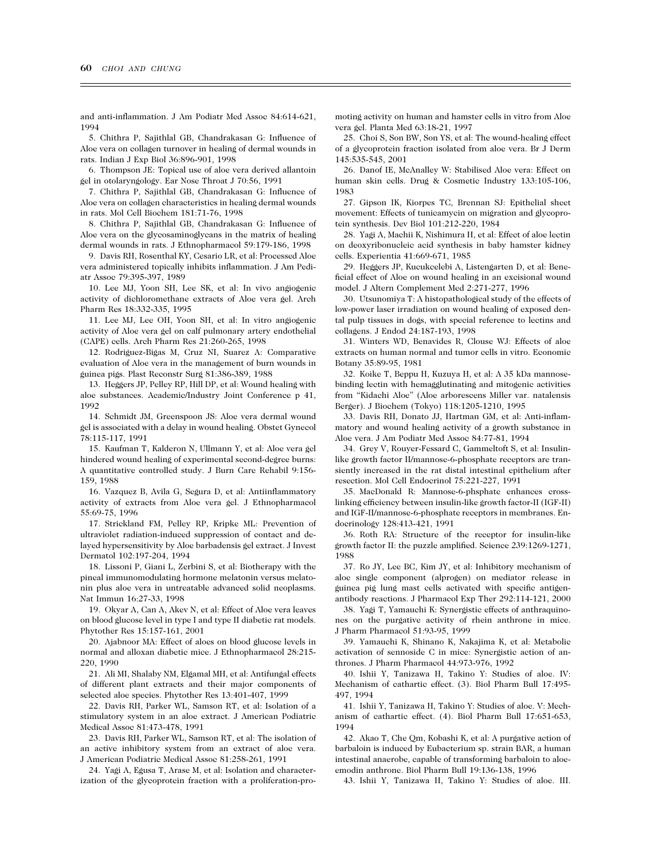and anti-inflammation. J Am Podiatr Med Assoc 84:614-621, 1994

5. Chithra P, Sajithlal GB, Chandrakasan G: Influence of Aloe vera on collagen turnover in healing of dermal wounds in rats. Indian J Exp Biol 36:896-901, 1998

6. Thompson JE: Topical use of aloe vera derived allantoin gel in otolaryngology. Ear Nose Throat J 70:56, 1991

7. Chithra P, Sajithlal GB, Chandrakasan G: Influence of Aloe vera on collagen characteristics in healing dermal wounds in rats. Mol Cell Biochem 181:71-76, 1998

8. Chithra P, Sajithlal GB, Chandrakasan G: Influence of Aloe vera on the glycosaminoglycans in the matrix of healing dermal wounds in rats. J Ethnopharmacol 59:179-186, 1998

9. Davis RH, Rosenthal KY, Cesario LR, et al: Processed Aloe vera administered topically inhibits inflammation. J Am Pediatr Assoc 79:395-397, 1989

10. Lee MJ, Yoon SH, Lee SK, et al: In vivo angiogenic activity of dichloromethane extracts of Aloe vera gel. Arch Pharm Res 18:332-335, 1995

11. Lee MJ, Lee OH, Yoon SH, et al: In vitro angiogenic activity of Aloe vera gel on calf pulmonary artery endothelial (CAPE) cells. Arch Pharm Res 21:260-265, 1998

12. Rodriguez-Bigas M, Cruz NI, Suarez A: Comparative evaluation of Aloe vera in the management of burn wounds in guinea pigs. Plast Reconstr Surg 81:386-389, 1988

13. Heggers JP, Pelley RP, Hill DP, et al: Wound healing with aloe substances. Academic/Industry Joint Conference p 41, 1992

14. Schmidt JM, Greenspoon JS: Aloe vera dermal wound gel is associated with a delay in wound healing. Obstet Gynecol 78:115-117, 1991

15. Kaufman T, Kalderon N, Ullmann Y, et al: Aloe vera gel hindered wound healing of experimental second-degree burns: A quantitative controlled study. J Burn Care Rehabil 9:156- 159, 1988

16. Vazquez B, Avila G, Segura D, et al: Antiinflammatory activity of extracts from Aloe vera gel. J Ethnopharmacol 55:69-75, 1996

17. Strickland FM, Pelley RP, Kripke ML: Prevention of ultraviolet radiation-induced suppression of contact and delayed hypersensitivity by Aloe barbadensis gel extract. J Invest Dermatol 102:197-204, 1994

18. Lissoni P, Giani L, Zerbini S, et al: Biotherapy with the pineal immunomodulating hormone melatonin versus melatonin plus aloe vera in untreatable advanced solid neoplasms. Nat Immun 16:27-33, 1998

19. Okyar A, Can A, Akev N, et al: Effect of Aloe vera leaves on blood glucose level in type I and type II diabetic rat models. Phytother Res 15:157-161, 2001

20. Ajabnoor MA: Effect of aloes on blood glucose levels in normal and alloxan diabetic mice. J Ethnopharmacol 28:215- 220, 1990

21. Ali MI, Shalaby NM, Elgamal MH, et al: Antifungal effects of different plant extracts and their major components of selected aloe species. Phytother Res 13:401-407, 1999

22. Davis RH, Parker WL, Samson RT, et al: Isolation of a stimulatory system in an aloe extract. J American Podiatric Medical Assoc 81:473-478, 1991

23. Davis RH, Parker WL, Samson RT, et al: The isolation of an active inhibitory system from an extract of aloe vera. J American Podiatric Medical Assoc 81:258-261, 1991

24. Yagi A, Egusa T, Arase M, et al: Isolation and characterization of the glycoprotein fraction with a proliferation-promoting activity on human and hamster cells in vitro from Aloe vera gel. Planta Med 63:18-21, 1997

25. Choi S, Son BW, Son YS, et al: The wound-healing effect of a glycoprotein fraction isolated from aloe vera. Br J Derm 145:535-545, 2001

26. Danof IE, McAnalley W: Stabilised Aloe vera: Effect on human skin cells. Drug & Cosmetic Industry 133:105-106, 1983

27. Gipson IK, Kiorpes TC, Brennan SJ: Epithelial sheet movement: Effects of tunicamycin on migration and glycoprotein synthesis. Dev Biol 101:212-220, 1984

28. Yagi A, Machii K, Nishimura H, et al: Effect of aloe lectin on deoxyribonucleic acid synthesis in baby hamster kidney cells. Experientia 41:669-671, 1985

29. Heggers JP, Kucukcelebi A, Listengarten D, et al: Beneficial effect of Aloe on wound healing in an excisional wound model. J Altern Complement Med 2:271-277, 1996

30. Utsunomiya T: A histopathological study of the effects of low-power laser irradiation on wound healing of exposed dental pulp tissues in dogs, with special reference to lectins and collagens. J Endod 24:187-193, 1998

31. Winters WD, Benavides R, Clouse WJ: Effects of aloe extracts on human normal and tumor cells in vitro. Economic Botany 35:89-95, 1981

32. Koike T, Beppu H, Kuzuya H, et al: A 35 kDa mannosebinding lectin with hemagglutinating and mitogenic activities from "Kidachi Aloe" (Aloe arborescens Miller var. natalensis Berger). J Biochem (Tokyo) 118:1205-1210, 1995

33. Davis RH, Donato JJ, Hartman GM, et al: Anti-inflammatory and wound healing activity of a growth substance in Aloe vera. J Am Podiatr Med Assoc 84:77-81, 1994

34. Grey V, Rouyer-Fessard C, Gammeltoft S, et al: Insulinlike growth factor II/mannose-6-phosphate receptors are transiently increased in the rat distal intestinal epithelium after resection. Mol Cell Endocrinol 75:221-227, 1991

35. MacDonald R: Mannose-6-phsphate enhances crosslinking efficiency between insulin-like growth factor-II (IGF-II) and IGF-II/mannose-6-phosphate receptors in membranes. Endocrinology 128:413-421, 1991

36. Roth RA: Structure of the receptor for insulin-like growth factor II: the puzzle amplified. Science 239:1269-1271, 1988

37. Ro JY, Lee BC, Kim JY, et al: Inhibitory mechanism of aloe single component (alprogen) on mediator release in guinea pig lung mast cells activated with specific antigenantibody reactions. J Pharmacol Exp Ther 292:114-121, 2000

38. Yagi T, Yamauchi K: Synergistic effects of anthraquinones on the purgative activity of rhein anthrone in mice. J Pharm Pharmacol 51:93-95, 1999

39. Yamauchi K, Shinano K, Nakajima K, et al: Metabolic activation of sennoside C in mice: Synergistic action of anthrones. J Pharm Pharmacol 44:973-976, 1992

40. Ishii Y, Tanizawa H, Takino Y: Studies of aloe. IV: Mechanism of cathartic effect. (3). Biol Pharm Bull 17:495- 497, 1994

41. Ishii Y, Tanizawa H, Takino Y: Studies of aloe. V: Mechanism of cathartic effect. (4). Biol Pharm Bull 17:651-653, 1994

42. Akao T, Che Qm, Kobashi K, et al: A purgative action of barbaloin is induced by Eubacterium sp. strain BAR, a human intestinal anaerobe, capable of transforming barbaloin to aloeemodin anthrone. Biol Pharm Bull 19:136-138, 1996

43. Ishii Y, Tanizawa H, Takino Y: Studies of aloe. III.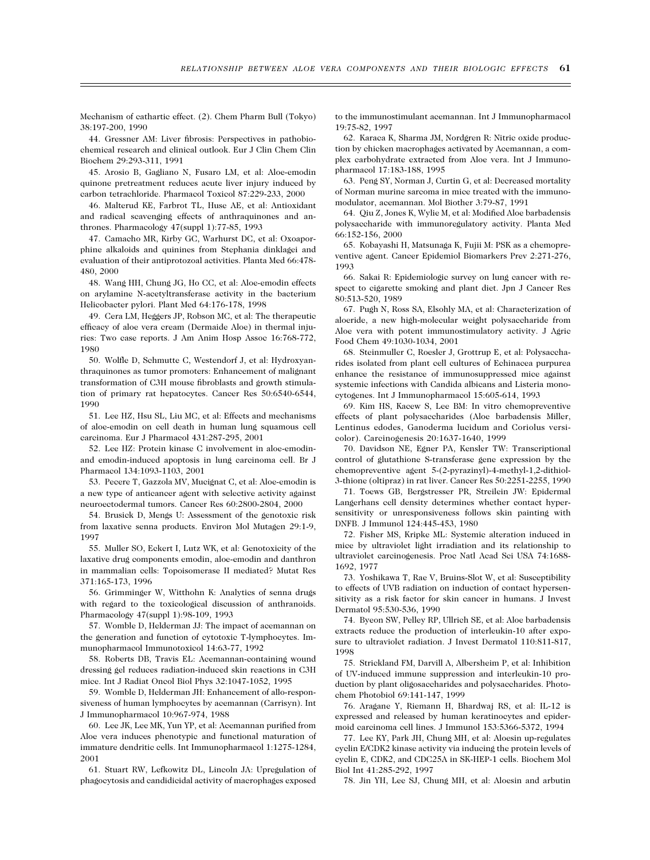Mechanism of cathartic effect. (2). Chem Pharm Bull (Tokyo) 38:197-200, 1990

44. Gressner AM: Liver fibrosis: Perspectives in pathobiochemical research and clinical outlook. Eur J Clin Chem Clin Biochem 29:293-311, 1991

45. Arosio B, Gagliano N, Fusaro LM, et al: Aloe-emodin quinone pretreatment reduces acute liver injury induced by carbon tetrachloride. Pharmacol Toxicol 87:229-233, 2000

46. Malterud KE, Farbrot TL, Huse AE, et al: Antioxidant and radical scavenging effects of anthraquinones and anthrones. Pharmacology 47(suppl 1):77-85, 1993

47. Camacho MR, Kirby GC, Warhurst DC, et al: Oxoaporphine alkaloids and quinines from Stephania dinklagei and evaluation of their antiprotozoal activities. Planta Med 66:478- 480, 2000

48. Wang HH, Chung JG, Ho CC, et al: Aloe-emodin effects on arylamine N-acetyltransferase activity in the bacterium Helicobacter pylori. Plant Med 64:176-178, 1998

49. Cera LM, Heggers JP, Robson MC, et al: The therapeutic efficacy of aloe vera cream (Dermaide Aloe) in thermal injuries: Two case reports. J Am Anim Hosp Assoc 16:768-772, 1980

50. Wolfle D, Schmutte C, Westendorf J, et al: Hydroxyanthraquinones as tumor promoters: Enhancement of malignant transformation of C3H mouse fibroblasts and growth stimulation of primary rat hepatocytes. Cancer Res 50:6540-6544, 1990

51. Lee HZ, Hsu SL, Liu MC, et al: Effects and mechanisms of aloe-emodin on cell death in human lung squamous cell carcinoma. Eur J Pharmacol 431:287-295, 2001

52. Lee HZ: Protein kinase C involvement in aloe-emodinand emodin-induced apoptosis in lung carcinoma cell. Br J Pharmacol 134:1093-1103, 2001

53. Pecere T, Gazzola MV, Mucignat C, et al: Aloe-emodin is a new type of anticancer agent with selective activity against neuroectodermal tumors. Cancer Res 60:2800-2804, 2000

54. Brusick D, Mengs U: Assessment of the genotoxic risk from laxative senna products. Environ Mol Mutagen 29:1-9, 1997

55. Muller SO, Eckert I, Lutz WK, et al: Genotoxicity of the laxative drug components emodin, aloe-emodin and danthron in mammalian cells: Topoisomerase II mediated? Mutat Res 371:165-173, 1996

56. Grimminger W, Witthohn K: Analytics of senna drugs with regard to the toxicological discussion of anthranoids. Pharmacology 47(suppl 1):98-109, 1993

57. Womble D, Helderman JJ: The impact of acemannan on the generation and function of cytotoxic T-lymphocytes. Immunopharmacol Immunotoxicol 14:63-77, 1992

58. Roberts DB, Travis EL: Acemannan-containing wound dressing gel reduces radiation-induced skin reactions in C3H mice. Int J Radiat Oncol Biol Phys 32:1047-1052, 1995

59. Womble D, Helderman JH: Enhancement of allo-responsiveness of human lymphocytes by acemannan (Carrisyn). Int J Immunopharmacol 10:967-974, 1988

60. Lee JK, Lee MK, Yun YP, et al: Acemannan purified from Aloe vera induces phenotypic and functional maturation of immature dendritic cells. Int Immunopharmacol 1:1275-1284, 2001

61. Stuart RW, Lefkowitz DL, Lincoln JA: Upregulation of phagocytosis and candidicidal activity of macrophages exposed

to the immunostimulant acemannan. Int J Immunopharmacol 19:75-82, 1997

62. Karaca K, Sharma JM, Nordgren R: Nitric oxide production by chicken macrophages activated by Acemannan, a complex carbohydrate extracted from Aloe vera. Int J Immunopharmacol 17:183-188, 1995

63. Peng SY, Norman J, Curtin G, et al: Decreased mortality of Norman murine sarcoma in mice treated with the immunomodulator, acemannan. Mol Biother 3:79-87, 1991

64. Qiu Z, Jones K, Wylie M, et al: Modified Aloe barbadensis polysaccharide with immunoregulatory activity. Planta Med 66:152-156, 2000

65. Kobayashi H, Matsunaga K, Fujii M: PSK as a chemopreventive agent. Cancer Epidemiol Biomarkers Prev 2:271-276, 1993

66. Sakai R: Epidemiologic survey on lung cancer with respect to cigarette smoking and plant diet. Jpn J Cancer Res 80:513-520, 1989

67. Pugh N, Ross SA, Elsohly MA, et al: Characterization of aloeride, a new high-molecular weight polysaccharide from Aloe vera with potent immunostimulatory activity. J Agric Food Chem 49:1030-1034, 2001

68. Steinmuller C, Roesler J, Grottrup E, et al: Polysaccharides isolated from plant cell cultures of Echinacea purpurea enhance the resistance of immunosuppressed mice against systemic infections with Candida albicans and Listeria monocytogenes. Int J Immunopharmacol 15:605-614, 1993

69. Kim HS, Kacew S, Lee BM: In vitro chemopreventive effects of plant polysaccharides (Aloe barbadensis Miller, Lentinus edodes, Ganoderma lucidum and Coriolus versicolor). Carcinogenesis 20:1637-1640, 1999

70. Davidson NE, Egner PA, Kensler TW: Transcriptional control of glutathione S-transferase gene expression by the chemopreventive agent 5-(2-pyrazinyl)-4-methyl-1,2-dithiol-3-thione (oltipraz) in rat liver. Cancer Res 50:2251-2255, 1990

71. Toews GB, Bergstresser PR, Streilein JW: Epidermal Langerhans cell density determines whether contact hypersensitivity or unresponsiveness follows skin painting with DNFB. J Immunol 124:445-453, 1980

72. Fisher MS, Kripke ML: Systemic alteration induced in mice by ultraviolet light irradiation and its relationship to ultraviolet carcinogenesis. Proc Natl Acad Sci USA 74:1688- 1692, 1977

73. Yoshikawa T, Rae V, Bruins-Slot W, et al: Susceptibility to effects of UVB radiation on induction of contact hypersensitivity as a risk factor for skin cancer in humans. J Invest Dermatol 95:530-536, 1990

74. Byeon SW, Pelley RP, Ullrich SE, et al: Aloe barbadensis extracts reduce the production of interleukin-10 after exposure to ultraviolet radiation. J Invest Dermatol 110:811-817, 1998

75. Strickland FM, Darvill A, Albersheim P, et al: Inhibition of UV-induced immune suppression and interleukin-10 production by plant oligosaccharides and polysaccharides. Photochem Photobiol 69:141-147, 1999

76. Aragane Y, Riemann H, Bhardwaj RS, et al: IL-12 is expressed and released by human keratinocytes and epidermoid carcinoma cell lines. J Immunol 153:5366-5372, 1994

77. Lee KY, Park JH, Chung MH, et al: Aloesin up-regulates cyclin E/CDK2 kinase activity via inducing the protein levels of cyclin E, CDK2, and CDC25A in SK-HEP-1 cells. Biochem Mol Biol Int 41:285-292, 1997

78. Jin YH, Lee SJ, Chung MH, et al: Aloesin and arbutin